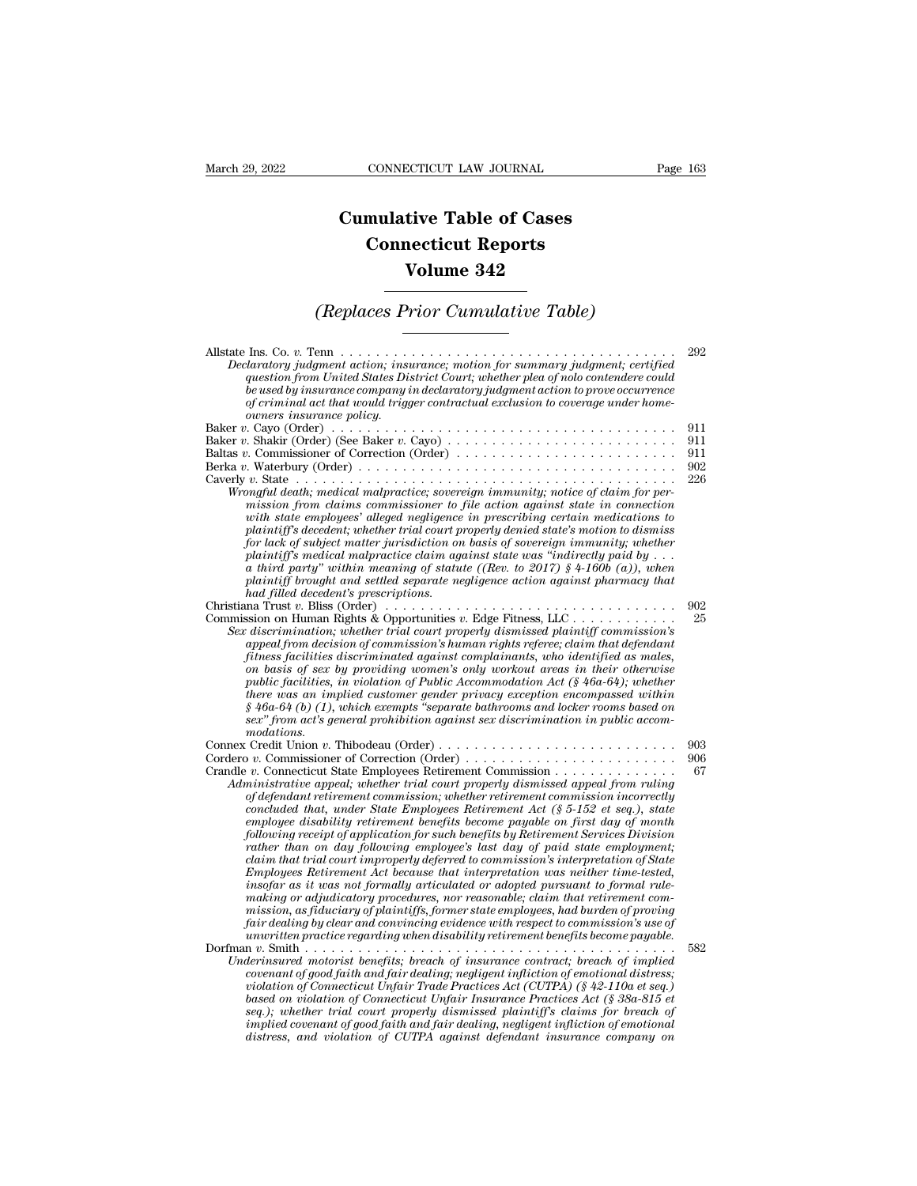## **CONNECTICUT LAW JOURNAL**<br> **Cumulative Table of Cases<br>
Connecticut Reports CONNECTICUT LAW JOURNAL**<br> **CONNECTICUT LAW JOURNAL**<br> **CONNECTICUT Reports<br>
Volume 342 ECTICUT LAW JOURNAL**<br> **Volume 342**<br> **Volume 342**<br> **Volume 342**<br> **Prior Cumulative Table) Cumulative Table of Cases<br>
Connecticut Reports<br>
Volume 342<br>
(Replaces Prior Cumulative Table)**

| Volume 342                                                                                                                                                                                                                                                                                                                                                                                                                                                                                                                                                                                                                                                                                                                                                                                                                                                                                                                                                                                                                                                                                                                            |                                 |
|---------------------------------------------------------------------------------------------------------------------------------------------------------------------------------------------------------------------------------------------------------------------------------------------------------------------------------------------------------------------------------------------------------------------------------------------------------------------------------------------------------------------------------------------------------------------------------------------------------------------------------------------------------------------------------------------------------------------------------------------------------------------------------------------------------------------------------------------------------------------------------------------------------------------------------------------------------------------------------------------------------------------------------------------------------------------------------------------------------------------------------------|---------------------------------|
| (Replaces Prior Cumulative Table)                                                                                                                                                                                                                                                                                                                                                                                                                                                                                                                                                                                                                                                                                                                                                                                                                                                                                                                                                                                                                                                                                                     |                                 |
| Declaratory judgment action; insurance; motion for summary judgment; certified<br>question from United States District Court; whether plea of nolo contendere could<br>be used by insurance company in declaratory judgment action to prove occurrence<br>of criminal act that would trigger contractual exclusion to coverage under home-<br>owners insurance policu.                                                                                                                                                                                                                                                                                                                                                                                                                                                                                                                                                                                                                                                                                                                                                                | 292                             |
| Baltas v. Commissioner of Correction (Order)<br>Wrongful death; medical malpractice; sovereign immunity; notice of claim for per-<br>mission from claims commissioner to file action against state in connection<br>with state employees' alleged negligence in prescribing certain medications to<br>plaintiff's decedent; whether trial court properly denied state's motion to dismiss<br>for lack of subject matter jurisdiction on basis of sovereign immunity; whether<br>plaintiff's medical malpractice claim against state was "indirectly paid by $\dots$<br>a third party" within meaning of statute ((Rev. to 2017) $\frac{1}{2}$ 4-160b (a)), when<br>plaintiff brought and settled separate negligence action against pharmacy that                                                                                                                                                                                                                                                                                                                                                                                     | 911<br>911<br>911<br>902<br>226 |
| had filled decedent's prescriptions.<br>Christiana Trust v. Bliss (Order) $\ldots \ldots \ldots \ldots \ldots \ldots \ldots \ldots \ldots \ldots \ldots \ldots$<br>Commission on Human Rights & Opportunities v. Edge Fitness, LLC<br>Sex discrimination; whether trial court properly dismissed plaintiff commission's<br>appeal from decision of commission's human rights referee; claim that defendant<br>fitness facilities discriminated against complainants, who identified as males,<br>on basis of sex by providing women's only workout areas in their otherwise<br>public facilities, in violation of Public Accommodation Act ( $\frac{6}{5}$ 46a-64); whether<br>there was an implied customer gender privacy exception encompassed within<br>$§$ 46a-64 (b) (1), which exempts "separate bathrooms and locker rooms based on<br>sex" from act's general prohibition against sex discrimination in public accom-                                                                                                                                                                                                        | 902<br>25                       |
| modations.<br>Connex Credit Union v. Thibodeau (Order)<br>Cordero v. Commissioner of Correction (Order)<br>Crandle v. Connecticut State Employees Retirement Commission<br>Administrative appeal; whether trial court properly dismissed appeal from ruling<br>of defendant retirement commission; whether retirement commission incorrectly<br>concluded that, under State Employees Retirement Act $(\S 5{\text -}152 \text{ et seq.})$ , state<br>employee disability retirement benefits become payable on first day of month<br>following receipt of application for such benefits by Retirement Services Division<br>rather than on day following employee's last day of paid state employment;<br>claim that trial court improperly deferred to commission's interpretation of State<br>Employees Retirement Act because that interpretation was neither time-tested,<br>insofar as it was not formally articulated or adopted pursuant to formal rule-<br>making or adjudicatory procedures, nor reasonable; claim that retirement com-<br>mission, as fiduciary of plaintiffs, former state employees, had burden of proving | 903<br>906<br>67                |
| fair dealing by clear and convincing evidence with respect to commission's use of<br>$\mu$ nwritten practice regarding when disability retirement benefits become payable.<br>Underinsured motorist benefits; breach of insurance contract; breach of implied<br>covenant of good faith and fair dealing; negligent infliction of emotional distress;<br>violation of Connecticut Unfair Trade Practices Act (CUTPA) (§ 42-110a et seq.)<br>based on violation of Connecticut Unfair Insurance Practices Act (§ 38a-815 et<br>seq.); whether trial court properly dismissed plaintiff's claims for breach of<br>implied covenant of good faith and fair dealing, negligent infliction of emotional<br>distress, and violation of CUTPA against defendant insurance company on                                                                                                                                                                                                                                                                                                                                                         | 582                             |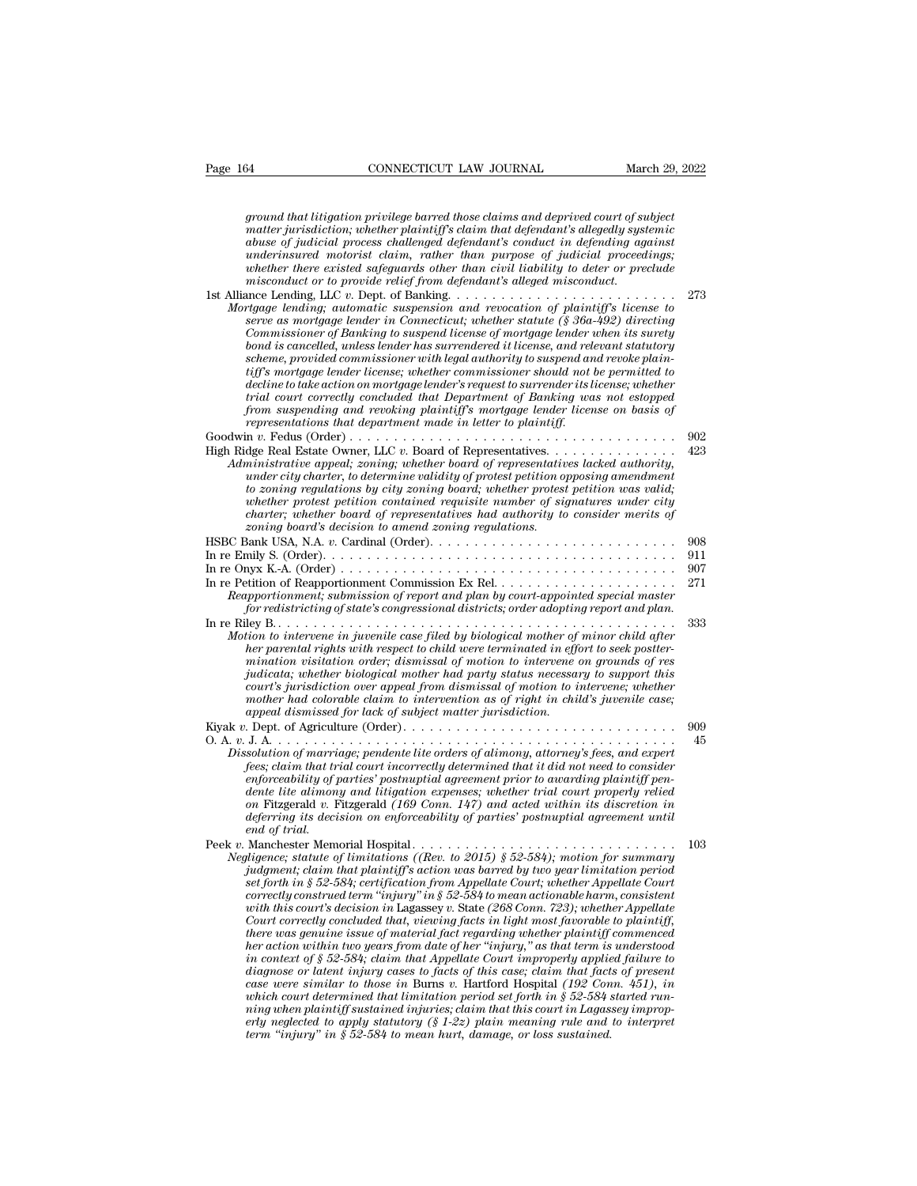*ground that litigation privilege barred those claims and deprived court of subject*<br>*ground that litigation privilege barred those claims and deprived court of subject*<br>*matter jurisdiction; whether plaintiff's claim that mather in the commeterity commeterity in the claims and deprived court of subject ground that litigation privilege barred those claims and deprived court of subject* matter jurisdiction; whether plaintiff's claim that d **abuse of the conduct of subject of the interactive of subject**<br>*abuse of judicial privilege barred those claims and deprived court of subject*<br>*matter jurisdiction; whether plaintiff's claim that defendant's allegedly sys underinsured motorist compoont CONNECTICUT LAW JOURNAL march 29, 2022*<br>*ground that litigation privilege barred those claims and deprived court of subject*<br>matter jurisdiction; whether plaintiff's claim that defendant's *ground that litigation privilege barred those claims and deprived court of subject*<br>matter jurisdiction; whether plaintiff's claim that defendant's allegedly systemic<br>abuse of judicial process challenged defendant's condu *ground that litigation privilege barred those claims and deprived court of sumatter jurisdiction; whether plaintiff's claim that defendant's allegedly system about the process challenged defendant's conduct in defending a* pround that litigation privilege barred those claims and deprived court of subject<br>matter jurisdiction; whether plaintiff's claim that defendant's allegedly systemic<br>abuse of judicial process challenged defendant's conduct *Mortgage lending; automatic suspension and defendant's allegedly systemic abuse of judicial process challenged defendant's conduct in defending against underinsured motorist claim, rather than purpose of judicial proceedi* 

| танет јитѕансноп, итешет ринпнуј ѕ синт тан аејепшт ѕ анедешу ѕуѕиетнс<br>abuse of judicial process challenged defendant's conduct in defending against<br>underinsured motorist claim, rather than purpose of judicial proceedings;<br>whether there existed safeguards other than civil liability to deter or preclude<br>misconduct or to provide relief from defendant's alleged misconduct.                                                                                                                                                                                                                                                                                                                                                                                                                                                                                                                                                                                                                                                                                                                                                                                                                                                                                                                            |     |
|-----------------------------------------------------------------------------------------------------------------------------------------------------------------------------------------------------------------------------------------------------------------------------------------------------------------------------------------------------------------------------------------------------------------------------------------------------------------------------------------------------------------------------------------------------------------------------------------------------------------------------------------------------------------------------------------------------------------------------------------------------------------------------------------------------------------------------------------------------------------------------------------------------------------------------------------------------------------------------------------------------------------------------------------------------------------------------------------------------------------------------------------------------------------------------------------------------------------------------------------------------------------------------------------------------------------------------|-----|
|                                                                                                                                                                                                                                                                                                                                                                                                                                                                                                                                                                                                                                                                                                                                                                                                                                                                                                                                                                                                                                                                                                                                                                                                                                                                                                                             | 273 |
| Mortgage lending; automatic suspension and revocation of plaintiff's license to<br>serve as mortgage lender in Connecticut; whether statute $(\S 36a-492)$ directing<br>Commissioner of Banking to suspend license of mortgage lender when its surety<br>bond is cancelled, unless lender has surrendered it license, and relevant statutory<br>scheme, provided commissioner with legal authority to suspend and revoke plain-<br>tiff's mortgage lender license; whether commissioner should not be permitted to<br>decline to take action on mortgage lender's request to surrender its license; whether<br>trial court correctly concluded that Department of Banking was not estopped<br>from suspending and revoking plaintiff's mortgage lender license on basis of<br>representations that department made in letter to plaintiff.                                                                                                                                                                                                                                                                                                                                                                                                                                                                                  |     |
|                                                                                                                                                                                                                                                                                                                                                                                                                                                                                                                                                                                                                                                                                                                                                                                                                                                                                                                                                                                                                                                                                                                                                                                                                                                                                                                             | 902 |
| Administrative appeal; zoning; whether board of representatives lacked authority,<br>$under city \, character, \,to \, determine \, validity \, of \, protest \,petition \, opposing \,amendment$<br>to zoning regulations by city zoning board; whether protest petition was valid;<br>whether protest petition contained requisite number of signatures under city<br>charter; whether board of representatives had authority to consider merits of<br>zoning board's decision to amend zoning regulations.                                                                                                                                                                                                                                                                                                                                                                                                                                                                                                                                                                                                                                                                                                                                                                                                               | 423 |
| HSBC Bank USA, N.A. v. Cardinal (Order). $\dots \dots \dots \dots \dots \dots \dots \dots \dots \dots \dots \dots$                                                                                                                                                                                                                                                                                                                                                                                                                                                                                                                                                                                                                                                                                                                                                                                                                                                                                                                                                                                                                                                                                                                                                                                                          | 908 |
|                                                                                                                                                                                                                                                                                                                                                                                                                                                                                                                                                                                                                                                                                                                                                                                                                                                                                                                                                                                                                                                                                                                                                                                                                                                                                                                             | 911 |
|                                                                                                                                                                                                                                                                                                                                                                                                                                                                                                                                                                                                                                                                                                                                                                                                                                                                                                                                                                                                                                                                                                                                                                                                                                                                                                                             | 907 |
| Reapportionment; submission of report and plan by court-appointed special master<br>for redistricting of state's congressional districts; order adopting report and plan.                                                                                                                                                                                                                                                                                                                                                                                                                                                                                                                                                                                                                                                                                                                                                                                                                                                                                                                                                                                                                                                                                                                                                   | 271 |
|                                                                                                                                                                                                                                                                                                                                                                                                                                                                                                                                                                                                                                                                                                                                                                                                                                                                                                                                                                                                                                                                                                                                                                                                                                                                                                                             | 333 |
| Motion to intervene in juvenile case filed by biological mother of minor child after<br>her parental rights with respect to child were terminated in effort to seek postter-<br>mination visitation order; dismissal of motion to intervene on grounds of res<br>judicata; whether biological mother had party status necessary to support this<br>court's jurisdiction over appeal from dismissal of motion to intervene; whether<br>mother had colorable claim to intervention as of right in child's juvenile case;<br>appeal dismissed for lack of subject matter jurisdiction.                                                                                                                                                                                                                                                                                                                                                                                                                                                                                                                                                                                                                                                                                                                                         |     |
|                                                                                                                                                                                                                                                                                                                                                                                                                                                                                                                                                                                                                                                                                                                                                                                                                                                                                                                                                                                                                                                                                                                                                                                                                                                                                                                             | 909 |
| Dissolution of marriage; pendente lite orders of alimony, attorney's fees, and expert<br>fees; claim that trial court incorrectly determined that it did not need to consider<br>enforceability of parties' postnuptial agreement prior to awarding plaintiff pen-<br>dente lite alimony and litigation expenses; whether trial court properly relied<br>on Fitzgerald v. Fitzgerald (169 Conn. 147) and acted within its discretion in<br>deferring its decision on enforceability of parties' postnuptial agreement until<br>end of trial.                                                                                                                                                                                                                                                                                                                                                                                                                                                                                                                                                                                                                                                                                                                                                                                | 45  |
|                                                                                                                                                                                                                                                                                                                                                                                                                                                                                                                                                                                                                                                                                                                                                                                                                                                                                                                                                                                                                                                                                                                                                                                                                                                                                                                             | 103 |
| Negligence; statute of limitations ((Rev. to 2015) § 52-584); motion for summary<br>judgment; claim that plaintiff's action was barred by two year limitation period<br>set forth in § 52-584; certification from Appellate Court; whether Appellate Court<br>correctly construed term "injury" in $\S 52$ -584 to mean actionable harm, consistent<br>with this court's decision in Lagassey v. State (268 Conn. 723); whether Appellate<br>Court correctly concluded that, viewing facts in light most favorable to plaintiff,<br>there was genuine issue of material fact regarding whether plaintiff commenced<br>her action within two years from date of her "injury," as that term is understood<br>in context of $\S 52-584$ ; claim that Appellate Court improperly applied failure to<br>diagnose or latent injury cases to facts of this case; claim that facts of present<br>case were similar to those in Burns v. Hartford Hospital $(192 \; Conn. 451)$ , in<br>which court determined that limitation period set forth in $\S 52{\text -}584$ started run-<br>ning when plaintiff sustained injuries; claim that this court in Lagassey improp-<br>erly neglected to apply statutory $(S1-2z)$ plain meaning rule and to interpret<br>term "injury" in $\S 52-584$ to mean hurt, damage, or loss sustained. |     |
|                                                                                                                                                                                                                                                                                                                                                                                                                                                                                                                                                                                                                                                                                                                                                                                                                                                                                                                                                                                                                                                                                                                                                                                                                                                                                                                             |     |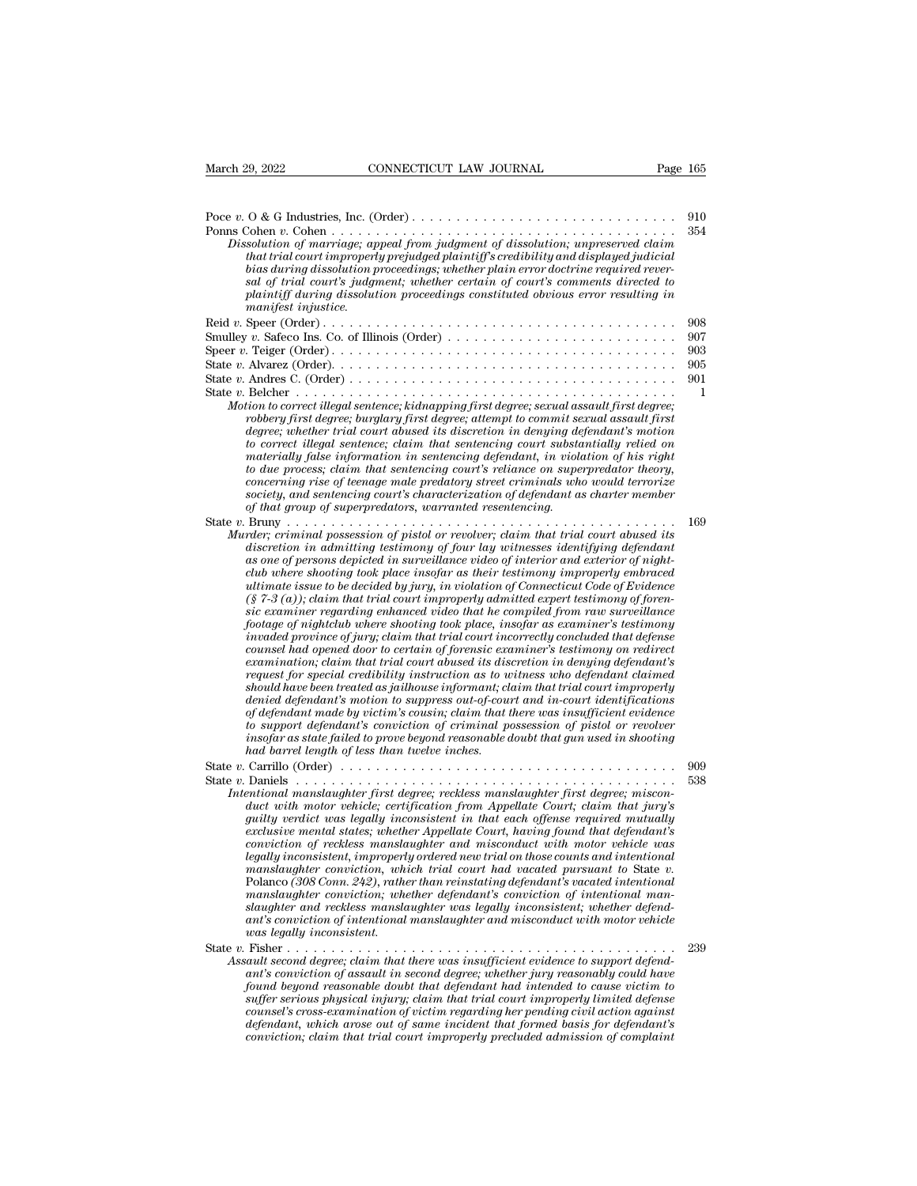| March 29, 2022<br>CONNECTICUT LAW JOURNAL<br>Page 165                                                                                                                                                                                                                                                                                                                                                                                                                                                                                                                                                                                                                                                                                                                                                                                                                                                                                                                                                                                                                                                                                                                                                                                                                                                                                                                                                                                                                                                                                  |            |
|----------------------------------------------------------------------------------------------------------------------------------------------------------------------------------------------------------------------------------------------------------------------------------------------------------------------------------------------------------------------------------------------------------------------------------------------------------------------------------------------------------------------------------------------------------------------------------------------------------------------------------------------------------------------------------------------------------------------------------------------------------------------------------------------------------------------------------------------------------------------------------------------------------------------------------------------------------------------------------------------------------------------------------------------------------------------------------------------------------------------------------------------------------------------------------------------------------------------------------------------------------------------------------------------------------------------------------------------------------------------------------------------------------------------------------------------------------------------------------------------------------------------------------------|------------|
|                                                                                                                                                                                                                                                                                                                                                                                                                                                                                                                                                                                                                                                                                                                                                                                                                                                                                                                                                                                                                                                                                                                                                                                                                                                                                                                                                                                                                                                                                                                                        |            |
| Dissolution of marriage; appeal from judgment of dissolution; unpreserved claim<br>that trial court improperly prejudged plaintiff's credibility and displayed judicial<br>bias during dissolution proceedings; whether plain error doctrine required rever-<br>sal of trial court's judgment; whether certain of court's comments directed to<br>plaintiff during dissolution proceedings constituted obvious error resulting in<br>manifest injustice.                                                                                                                                                                                                                                                                                                                                                                                                                                                                                                                                                                                                                                                                                                                                                                                                                                                                                                                                                                                                                                                                               | 910<br>354 |
|                                                                                                                                                                                                                                                                                                                                                                                                                                                                                                                                                                                                                                                                                                                                                                                                                                                                                                                                                                                                                                                                                                                                                                                                                                                                                                                                                                                                                                                                                                                                        | 908        |
| Smulley v. Safeco Ins. Co. of Illinois (Order) $\dots \dots \dots \dots \dots \dots \dots \dots \dots$                                                                                                                                                                                                                                                                                                                                                                                                                                                                                                                                                                                                                                                                                                                                                                                                                                                                                                                                                                                                                                                                                                                                                                                                                                                                                                                                                                                                                                 | 907        |
|                                                                                                                                                                                                                                                                                                                                                                                                                                                                                                                                                                                                                                                                                                                                                                                                                                                                                                                                                                                                                                                                                                                                                                                                                                                                                                                                                                                                                                                                                                                                        | 903        |
|                                                                                                                                                                                                                                                                                                                                                                                                                                                                                                                                                                                                                                                                                                                                                                                                                                                                                                                                                                                                                                                                                                                                                                                                                                                                                                                                                                                                                                                                                                                                        | 905        |
|                                                                                                                                                                                                                                                                                                                                                                                                                                                                                                                                                                                                                                                                                                                                                                                                                                                                                                                                                                                                                                                                                                                                                                                                                                                                                                                                                                                                                                                                                                                                        | 901<br>1   |
| Motion to correct illegal sentence; kidnapping first degree; sexual assault first degree;<br>robbery first degree; burglary first degree; attempt to commit sexual assault first<br>degree; whether trial court abused its discretion in denying defendant's motion<br>to correct illegal sentence; claim that sentencing court substantially relied on<br>materially false information in sentencing defendant, in violation of his right<br>to due process; claim that sentencing court's reliance on superpredator theory,<br>concerning rise of teenage male predatory street criminals who would terrorize<br>society, and sentencing court's characterization of defendant as charter member<br>of that group of superpredators, warranted resentencing.                                                                                                                                                                                                                                                                                                                                                                                                                                                                                                                                                                                                                                                                                                                                                                         |            |
|                                                                                                                                                                                                                                                                                                                                                                                                                                                                                                                                                                                                                                                                                                                                                                                                                                                                                                                                                                                                                                                                                                                                                                                                                                                                                                                                                                                                                                                                                                                                        | 169        |
| Murder; criminal possession of pistol or revolver; claim that trial court abused its<br>discretion in admitting testimony of four lay witnesses identifying defendant<br>as one of persons depicted in surveillance video of interior and exterior of night-<br>club where shooting took place insofar as their testimony improperly embraced<br>ultimate issue to be decided by jury, in violation of Connecticut Code of Evidence<br>$(\S$ 7-3 (a)); claim that trial court improperly admitted expert testimony of foren-<br>sic examiner regarding enhanced video that he compiled from raw surveillance<br>footage of nightclub where shooting took place, insofar as examiner's testimony<br>invaded province of jury; claim that trial court incorrectly concluded that defense<br>counsel had opened door to certain of forensic examiner's testimony on redirect<br>examination; claim that trial court abused its discretion in denying defendant's<br>request for special credibility instruction as to witness who defendant claimed<br>should have been treated as jailhouse informant; claim that trial court improperly<br>denied defendant's motion to suppress out-of-court and in-court identifications<br>of defendant made by victim's cousin; claim that there was insufficient evidence<br>to support defendant's conviction of criminal possession of pistol or revolver<br>insofar as state failed to prove beyond reasonable doubt that gun used in shooting<br>had barrel length of less than twelve inches. | 909        |
| Intentional manslaughter first degree; reckless manslaughter first degree; miscon-<br>duct with motor vehicle; certification from Appellate Court; claim that jury's<br>guilty verdict was legally inconsistent in that each offense required mutually<br>exclusive mental states; whether Appellate Court, having found that defendant's<br>conviction of reckless manslaughter and misconduct with motor vehicle was<br>legally inconsistent, improperly ordered new trial on those counts and intentional<br>manslaughter conviction, which trial court had vacated pursuant to State v.<br>Polanco (308 Conn. 242), rather than reinstating defendant's vacated intentional<br>manslaughter conviction; whether defendant's conviction of intentional man-<br>slaughter and reckless manslaughter was legally inconsistent; whether defend-<br>ant's conviction of intentional manslaughter and misconduct with motor vehicle<br>was legally inconsistent.                                                                                                                                                                                                                                                                                                                                                                                                                                                                                                                                                                         | 538        |
|                                                                                                                                                                                                                                                                                                                                                                                                                                                                                                                                                                                                                                                                                                                                                                                                                                                                                                                                                                                                                                                                                                                                                                                                                                                                                                                                                                                                                                                                                                                                        | 239        |
| Assault second degree; claim that there was insufficient evidence to support defend-<br>ant's conviction of assault in second degree; whether jury reasonably could have<br>found beyond reasonable doubt that defendant had intended to cause victim to<br>suffer serious physical injury; claim that trial court improperly limited defense<br>counsel's cross-examination of victim regarding her pending civil action against<br>defendant, which arose out of same incident that formed basis for defendant's<br>conviction: claim that trial court improperly precluded admission of complaint                                                                                                                                                                                                                                                                                                                                                                                                                                                                                                                                                                                                                                                                                                                                                                                                                                                                                                                                   |            |

*defendant, which arose out of same incident that formed basis for defendant's conviction; claim that trial court improperly precluded admission of complaint*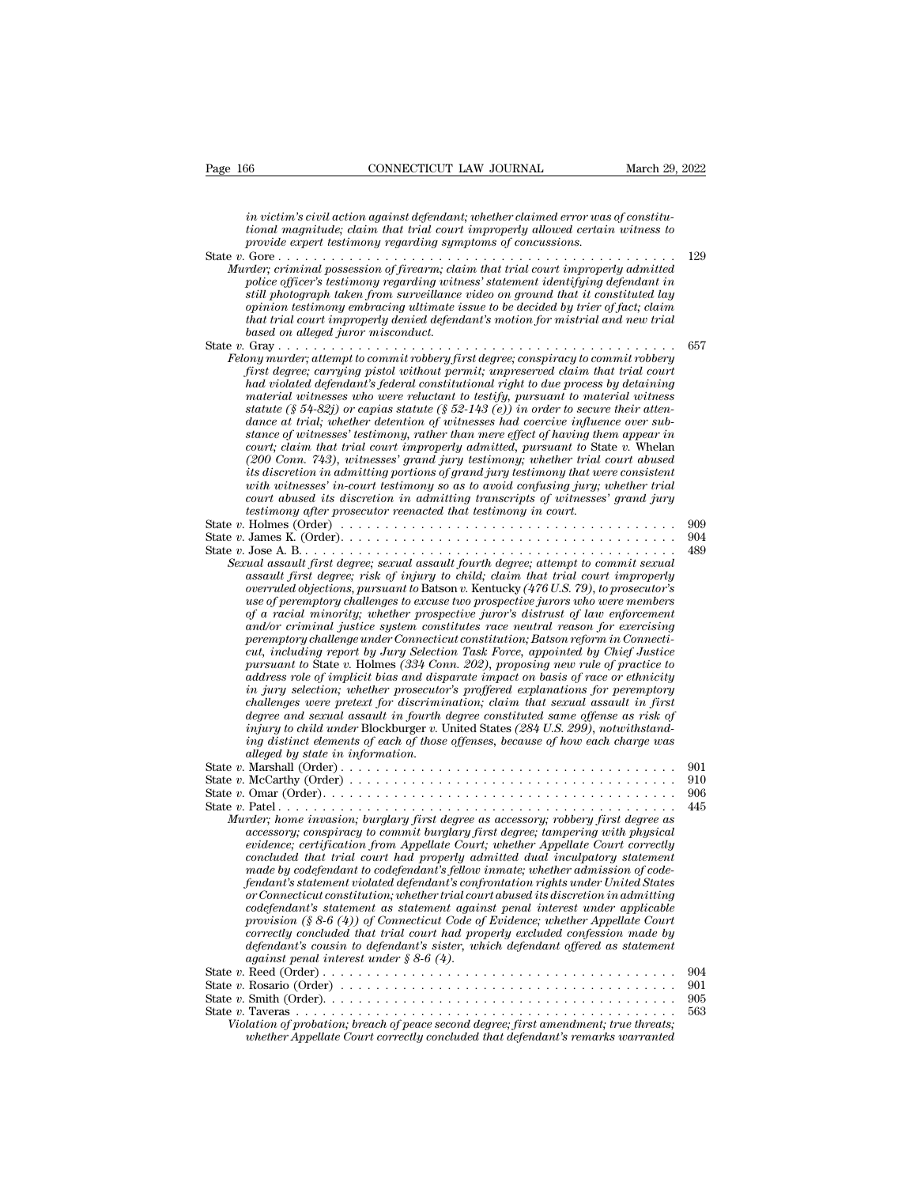*in victim's civil action against defendant; whether claimed error was of constitutional magnitude; claim that trial court improperly allowed certain witness to provide expect testimony regarding symptoms of concussions tional magnitude; connected trial magnitude; claim that trial court improperly allowed certain witness to*<br>*tional magnitude; claim that trial court improperly allowed certain witness to*<br>*provide expert testimony regardi provide experimondual complement testimong in victim's civil action against defendant; whether claimed error was<br>iprovide expert testimony regarding symptoms of concussions.<br>From the expert testimony regarding symptoms of* State *<sup>v</sup>*. Gore . . . . . . . . . . . . . . . . . . . . . . . . . . . . . . . . . . . . . . . . . . . . . <sup>129</sup> *in victim's civil action against defendant; whether claimed error was of constitutional magnitude; claim that trial court improperly allowed certain witness to provide expert testimony regarding symptoms of concussions.*<br> *in victim's civil action against defendant; whether claimed error was of constitutional magnitude; claim that trial court improperly allowed certain witness to provide expert testimony regarding symptoms of concussions.*<br> *in victim's civil action against defendant; whether claimed error was of constitutional magnitude; claim that trial court improperly allowed certain witness to provide expert testimony regarding symptoms of concussions. ophinion testimony embracing ultimate issue to be decided by trienal magnitude; claim that trial court improperly allowed certain witness to provide experimental provides in that trial court improperly allowed certain wit that magnitude; claim that trial court improperty allowed certain witness to*<br> *trovide expert testimony regarding symptoms of concussions.*<br>  $129$ <br>  $129$ <br>  $129$ <br>  $129$ <br>  $129$ <br>  $129$ <br>  $129$ <br>  $129$ <br>  $129$ <br>  $129$ <br>  $129$ <br>  $1$ *based on alleged juror misconduct.* State *v.* Gray . . . . . . . . . . . . . . . . . . . . . . . . . . . . . . . . . . . . . . . . . . . . . <sup>657</sup> *Felony murder; criminal possession of prearm; ciarm inat trial court improperty admitted*<br> *Felong ficer's testimony regarding witness' statement identifying defendant in*<br> *Feliphotograph taken from surveillance video on fill photograph taken from surveillance video on ground that it constituted lay*<br> *opinion testimony embracing ultimate issue to be decided by trier of fact; claim<br>
that trial court improperly denied defendant's motion fo stul photograph taken from surveulance viaeo on ground that it constituted tay*<br> *opinion testimony embracing ultimate issue to be decided by trier of fact; claim*<br> *had trial court improperly denied defendant's motion fo material witnesses who were reluctant to testify, pursuant to material witness statute (§ 54-82j) or capias statute (§ 52-143 (e)) in order to secure their attendance at trial; whether detention of witnesses had coercive influence over substance of witnesses' testimony, rather than mere effect of having them appear in court in that trial commult to the pure in that trial court in that trial court first degree; carrying pistol without permit; unpreserved claim that trial court had violated defendant's federal constitutional right to due first degree; carrying pistol without permit; impreserved claim that trial court*<br>had violated defendant's federal constitutional right to due process by detaining<br>material witnesses who were reluctant to testify, pursuan *had violated defendant's federal constitutional right to due process by detaining*<br>material witnesses who were reluctant to testify, pursuant to material witness<br>statute (§ 54-82j) or capias statute (§ 52-143 (e)) in orde *material witnesses who were reluctant to testify, pursuant to material witness* statute (§ 54-82j) or capias statute (§ 52-143 (e)) in order to secure their attendance at trial; whether detention of witnesses had coerciv *court abused is 4-82j)* or capids statute (§ 52-143 (e)) in order to secure their atten-<br>dance at trial, whether detention of witnesses had coercive influence over sub-<br>stance of witnesses' testimony, rather than mere eff *term* dance at trial; whether detention of witnesses had coercive influer stance of witnesses' testimony, rather than mere effect of having the court; claim that trial court improperly admitted, pursuant to State (200 Con stance of winnesses testimony, rather than mere effect of naving them appear in<br>
court; claim that trial court improperly admitted, pursuant to State v. Whelm<br>
(200 Com. 743), witnesses' grand jury testimony; whether trial ovari, ciarm that trial court improperty damitted, parsuant to state v. when<br>
(200 Conn. 743), withesses' grand jury testimony; whether trial court abused<br>
its discretion in admitting portions of grand jury testimony that (200 Conn. (45), winesses grand jury testimony; whether trial court abused<br>its discretion in admitting portions of grand jury testimony that were consistent<br>with witnesses' in-court testimony so as to avoid confusing jury; *Sexual assault first degree; incommit to Batsault fourth withersess' in-court assault of the with a court is discretion in admitting transcripts of witnesses' grand jury testimony after prosecutor reenacted that testimony assault first degree; risk of injury to child; claim that trial court absent density of wiresses* and *jury to court destinony diter prosecution in admitting transcripts of wiresses' grand jury to the Holmes (Order)*<br> *as overruled objections, pursuant to* Batson *v.* Kentucky *(476 U.S. 79), to prosecutor's usumony after prosecutor reenacted that usumony in court.*<br> *use Sames K. (Order)*<br> *Jose A. B.*<br> *usad assault first degree; sexual assault fourth degree; attempt to commit sexual<br>
assault first degree; risk of injury to of a racial minority; whether prospective juror's distrust of lower A.B.*<br> *Jose A.B.*<br> *of a racial first degree; sexual assault fourth degree; attempt to commit sexual assault first degree; risk of injury to child; clai and/or criminal justice system constitutes race neutral reason for exercising Percy sexual assault first degree; sexual assault fourth degree; attempt to commit sexual assault first degree; risk of injury to child; claim that trial court improperly overruled objections, pursuant to Batson v. Kentuc cut, including report by Jury Selection Task Force, appointed by Chief Justice assault first degree; risk of injury to child; claim that trial court improperty*<br> *overruled objections, pursuant to* Batson *v*. Kentucky (476 U.S. 79), to prosecutor's<br> *use of peremptory challenges to excuse two prosp address perminded objections, pursuant to Batson v. Kentucky (476 U.S. 79), to prosecutor s*<br>*ase of peremptory challenges to excuse two prospective jurors who were members*<br>*and/or criminal justice system constitutes rac ise of peremptory challenges to excuse two prospective jurors who were members* of a racial minority; whether prospective juror's distrust of law enforcement analor criminal justice system constitutes race neutral reason *ch* a ractal minority; whether prospective juror's distrust of law enforcement<br>and/or criminal justice system constitutes race neutral reason for exercising<br>peremptory challenge under Connecticut constitution; Batson refo and/or crunnal justice system constitutes race neutral reason for exercising<br>peremptory challenge under Connecticut constitution; Batson reform in Connecti-<br>cut, including report by Jury Selection Task Force, appointed by *peremptory challenge under Connecticut constitution; Batson reform in Connecticut, including report by Jury Selection Task Force, appointed by Chief Justice pursuant to State v. Holmes (334 Conn. 202), proposing new rule cut, including report by Jury Selection Task Force, appointed by Chief Justice*<br>pursuant to State v. Holmes (334 Conn. 202), proposing new rule of practice to<br>address role of implicit bias and disparate impact on basis of pursuant to State v. Holmes (334 Con<br>address role of implicit bias and displane<br>in jury selection; whether prosecuto<br>challenges were pretext for discrimin<br>degree and sexual assault in fourth<br>injury to child under Blockburg adaress rote of *mpucut bas and assparate impact on basis of race or etnincity*<br> *in jury selection; whether prosecutor's profered explanations for peremptory*<br> *challenges were pretext for discrimination; claim that sexua in jury selection; uneliner proseculors projered explainations for perempiory*<br> *challenges were pretext for discrimination; claim that sexual assault in fourth degree constituted same offense as risk of*<br> *injury to chil* challenges were pretext for assertimation; cannot have also an issue in form degree and sexual asserts a risk of<br>degree and sexual assault in form degree constituted same offenses as risk of<br>ing distinct elements of each o digine and section of the Blockburger v. United States (284 U.S. 299), notwithstand-<br>ing distinct elements of each of those offenses, because of how each charge was<br>alleged by state in information.<br>State v. Marshall (Order *Murder; home invasion; burglary first degree as accessory; robbery first degree as accessory; conspiracy to commit burglary first degree; tampering with physical evidence; certification from Appellate Court; whether Appellate Court correctly concluded that trial court had properly admitted dual inculpatory statement mcCarthy (Order)*<br> **Omar (Order)**<br> *made by commission, burglary first degree as accessory, robbery first degree as<br>
<i>mater, home invasion, burglary first degree as accessory, robbery first degree as<br>
accessory, conspirac fendant* (Urder).<br> *fendant confrontation, burglary first degree as accessory; robbery first degree as<br>
accessory; conspiracy to commit burglary first degree; tampering with physical<br>
evidence; certification from Appella or Connecticut constitution; whether trial court abused its discretion in admitting accessory; conspiracy to commit burglary first degree; tampering with physical* evidence; certification from Appellate Court; whether Appellate Court correctly concluded that trial court had properly admitted dual inculpa concluded that trial court had properly admitted dual inculpatory statement<br>made by codefendant to codefendant's fellow inmate; whether admission of code-<br>fendant's statement violated defendant's confrontation rights under *cordence; certification from Appellate Court; whether Appellate Court correctly concluded that trial court had properly admitted dual inculpatory statement for code-made by codefendant's statement violated defendant's con provision (§ 8-6 (4)) of Connecticut Code of Evidence; whether Appellate Court correctly concluded that trial court had properly excluded confession made by defendant's cousin to defendant's sister, which defendant offe made by codefendant to codefendant's fellow fendant's statement violated defendant's confinered for Connecticut constitution; whether trial court codefendant's statement as statement again provision (§ 8-6 (4)) of Connect* renaant's statement violated agrenaant's confrontation rights under United States<br>or Connecticut constitution; whether trial court abused its discretion in admitting<br>codefendant's statement as statement against penal inter or connecticat constitution; whether trial court abused its discretion in damitting<br>codefendant's statement as statement against penal interest under applicable<br>provision (§ 8-6 (4)) of Connecticut Code of Evidence; whethe coagrainnt s' statement as statement against penal interest under application<br>provision (§ 8-6 (4)) of Connectical Code of Evidence; whether Appellate Court<br>correctly concluded that trial court had property excluded confes Frowston (y about that trial court had properly excluded confession made by<br>
correctly concluded that trial court had properly excluded confession made by<br>
defendant's cousin to defendant's sister, which defendant offered *Violation of probation; breach of peace second degree; first amendment; true threats; whether Appellate Court correctly concluded that defendant's remarks warranted*